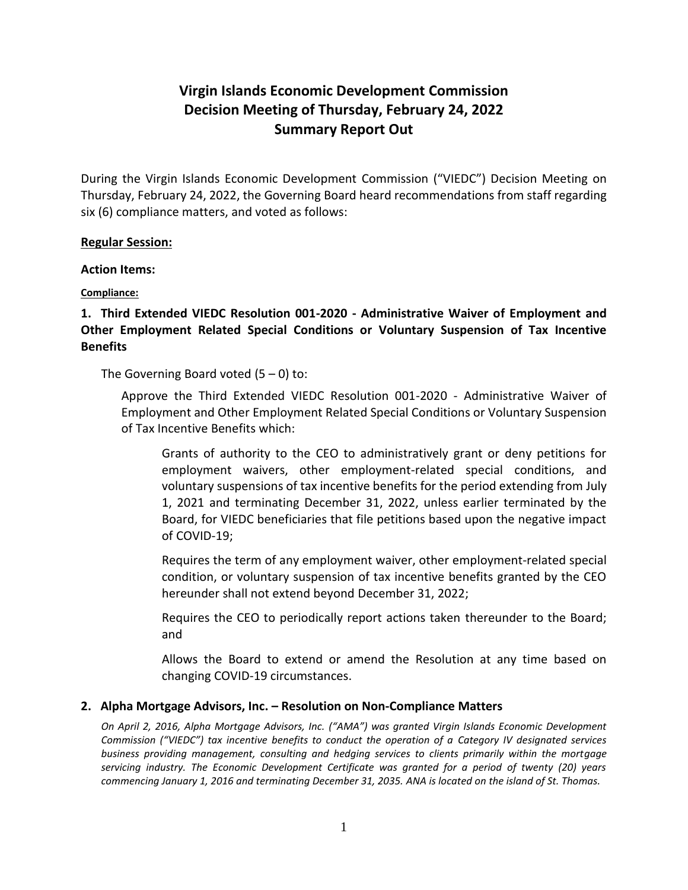# **Virgin Islands Economic Development Commission Decision Meeting of Thursday, February 24, 2022 Summary Report Out**

During the Virgin Islands Economic Development Commission ("VIEDC") Decision Meeting on Thursday, February 24, 2022, the Governing Board heard recommendations from staff regarding six (6) compliance matters, and voted as follows:

#### **Regular Session:**

#### **Action Items:**

## **Compliance:**

## **1. Third Extended VIEDC Resolution 001-2020 - Administrative Waiver of Employment and Other Employment Related Special Conditions or Voluntary Suspension of Tax Incentive Benefits**

The Governing Board voted  $(5 - 0)$  to:

Approve the Third Extended VIEDC Resolution 001-2020 - Administrative Waiver of Employment and Other Employment Related Special Conditions or Voluntary Suspension of Tax Incentive Benefits which:

Grants of authority to the CEO to administratively grant or deny petitions for employment waivers, other employment-related special conditions, and voluntary suspensions of tax incentive benefits for the period extending from July 1, 2021 and terminating December 31, 2022, unless earlier terminated by the Board, for VIEDC beneficiaries that file petitions based upon the negative impact of COVID-19;

Requires the term of any employment waiver, other employment-related special condition, or voluntary suspension of tax incentive benefits granted by the CEO hereunder shall not extend beyond December 31, 2022;

Requires the CEO to periodically report actions taken thereunder to the Board; and

Allows the Board to extend or amend the Resolution at any time based on changing COVID-19 circumstances.

## **2. Alpha Mortgage Advisors, Inc. – Resolution on Non-Compliance Matters**

*On April 2, 2016, Alpha Mortgage Advisors, Inc. ("AMA") was granted Virgin Islands Economic Development Commission ("VIEDC") tax incentive benefits to conduct the operation of a Category IV designated services business providing management, consulting and hedging services to clients primarily within the mortgage servicing industry. The Economic Development Certificate was granted for a period of twenty (20) years commencing January 1, 2016 and terminating December 31, 2035. ANA is located on the island of St. Thomas.*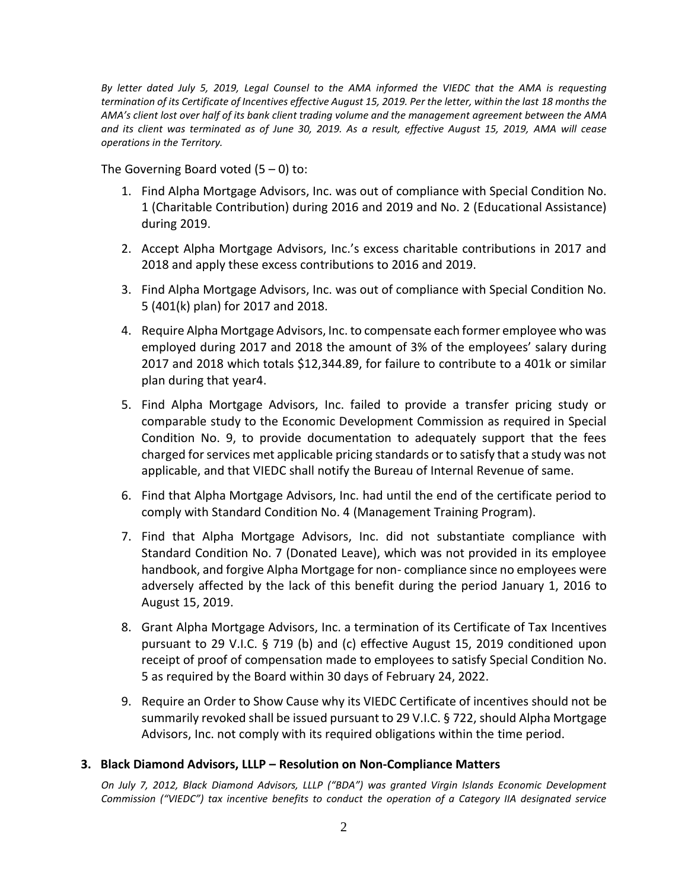*By letter dated July 5, 2019, Legal Counsel to the AMA informed the VIEDC that the AMA is requesting termination of its Certificate of Incentives effective August 15, 2019. Per the letter, within the last 18 months the AMA's client lost over half of its bank client trading volume and the management agreement between the AMA and its client was terminated as of June 30, 2019. As a result, effective August 15, 2019, AMA will cease operations in the Territory.*

The Governing Board voted  $(5 - 0)$  to:

- 1. Find Alpha Mortgage Advisors, Inc. was out of compliance with Special Condition No. 1 (Charitable Contribution) during 2016 and 2019 and No. 2 (Educational Assistance) during 2019.
- 2. Accept Alpha Mortgage Advisors, Inc.'s excess charitable contributions in 2017 and 2018 and apply these excess contributions to 2016 and 2019.
- 3. Find Alpha Mortgage Advisors, Inc. was out of compliance with Special Condition No. 5 (401(k) plan) for 2017 and 2018.
- 4. Require Alpha Mortgage Advisors, Inc. to compensate each former employee who was employed during 2017 and 2018 the amount of 3% of the employees' salary during 2017 and 2018 which totals \$12,344.89, for failure to contribute to a 401k or similar plan during that year4.
- 5. Find Alpha Mortgage Advisors, Inc. failed to provide a transfer pricing study or comparable study to the Economic Development Commission as required in Special Condition No. 9, to provide documentation to adequately support that the fees charged for services met applicable pricing standards or to satisfy that a study was not applicable, and that VIEDC shall notify the Bureau of Internal Revenue of same.
- 6. Find that Alpha Mortgage Advisors, Inc. had until the end of the certificate period to comply with Standard Condition No. 4 (Management Training Program).
- 7. Find that Alpha Mortgage Advisors, Inc. did not substantiate compliance with Standard Condition No. 7 (Donated Leave), which was not provided in its employee handbook, and forgive Alpha Mortgage for non- compliance since no employees were adversely affected by the lack of this benefit during the period January 1, 2016 to August 15, 2019.
- 8. Grant Alpha Mortgage Advisors, Inc. a termination of its Certificate of Tax Incentives pursuant to 29 V.I.C. § 719 (b) and (c) effective August 15, 2019 conditioned upon receipt of proof of compensation made to employees to satisfy Special Condition No. 5 as required by the Board within 30 days of February 24, 2022.
- 9. Require an Order to Show Cause why its VIEDC Certificate of incentives should not be summarily revoked shall be issued pursuant to 29 V.I.C. § 722, should Alpha Mortgage Advisors, Inc. not comply with its required obligations within the time period.

## **3. Black Diamond Advisors, LLLP – Resolution on Non-Compliance Matters**

*On July 7, 2012, Black Diamond Advisors, LLLP ("BDA") was granted Virgin Islands Economic Development Commission ("VIEDC") tax incentive benefits to conduct the operation of a Category IIA designated service*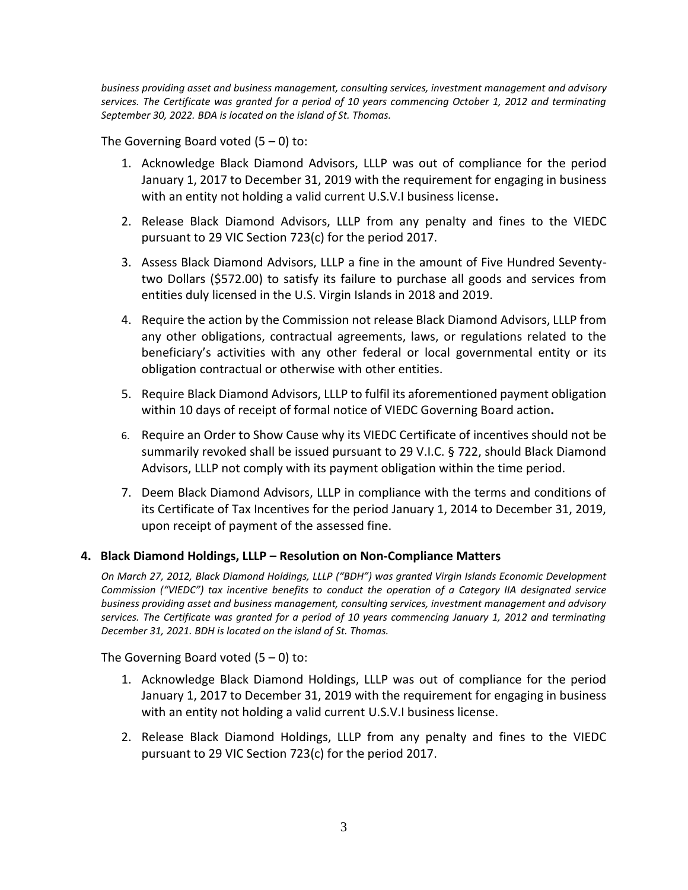*business providing asset and business management, consulting services, investment management and advisory services. The Certificate was granted for a period of 10 years commencing October 1, 2012 and terminating September 30, 2022. BDA is located on the island of St. Thomas.*

The Governing Board voted  $(5 - 0)$  to:

- 1. Acknowledge Black Diamond Advisors, LLLP was out of compliance for the period January 1, 2017 to December 31, 2019 with the requirement for engaging in business with an entity not holding a valid current U.S.V.I business license**.**
- 2. Release Black Diamond Advisors, LLLP from any penalty and fines to the VIEDC pursuant to 29 VIC Section 723(c) for the period 2017.
- 3. Assess Black Diamond Advisors, LLLP a fine in the amount of Five Hundred Seventytwo Dollars (\$572.00) to satisfy its failure to purchase all goods and services from entities duly licensed in the U.S. Virgin Islands in 2018 and 2019.
- 4. Require the action by the Commission not release Black Diamond Advisors, LLLP from any other obligations, contractual agreements, laws, or regulations related to the beneficiary's activities with any other federal or local governmental entity or its obligation contractual or otherwise with other entities.
- 5. Require Black Diamond Advisors, LLLP to fulfil its aforementioned payment obligation within 10 days of receipt of formal notice of VIEDC Governing Board action**.**
- 6. Require an Order to Show Cause why its VIEDC Certificate of incentives should not be summarily revoked shall be issued pursuant to 29 V.I.C. § 722, should Black Diamond Advisors, LLLP not comply with its payment obligation within the time period.
- 7. Deem Black Diamond Advisors, LLLP in compliance with the terms and conditions of its Certificate of Tax Incentives for the period January 1, 2014 to December 31, 2019, upon receipt of payment of the assessed fine.

## **4. Black Diamond Holdings, LLLP – Resolution on Non-Compliance Matters**

*On March 27, 2012, Black Diamond Holdings, LLLP ("BDH") was granted Virgin Islands Economic Development Commission ("VIEDC") tax incentive benefits to conduct the operation of a Category IIA designated service business providing asset and business management, consulting services, investment management and advisory services. The Certificate was granted for a period of 10 years commencing January 1, 2012 and terminating December 31, 2021. BDH is located on the island of St. Thomas.*

The Governing Board voted  $(5 - 0)$  to:

- 1. Acknowledge Black Diamond Holdings, LLLP was out of compliance for the period January 1, 2017 to December 31, 2019 with the requirement for engaging in business with an entity not holding a valid current U.S.V.I business license.
- 2. Release Black Diamond Holdings, LLLP from any penalty and fines to the VIEDC pursuant to 29 VIC Section 723(c) for the period 2017.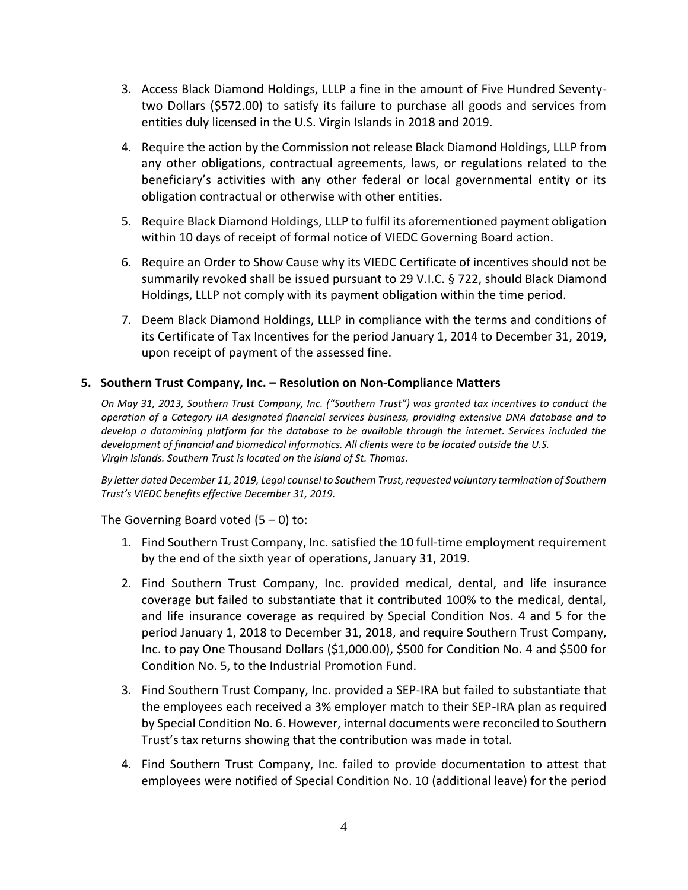- 3. Access Black Diamond Holdings, LLLP a fine in the amount of Five Hundred Seventytwo Dollars (\$572.00) to satisfy its failure to purchase all goods and services from entities duly licensed in the U.S. Virgin Islands in 2018 and 2019.
- 4. Require the action by the Commission not release Black Diamond Holdings, LLLP from any other obligations, contractual agreements, laws, or regulations related to the beneficiary's activities with any other federal or local governmental entity or its obligation contractual or otherwise with other entities.
- 5. Require Black Diamond Holdings, LLLP to fulfil its aforementioned payment obligation within 10 days of receipt of formal notice of VIEDC Governing Board action.
- 6. Require an Order to Show Cause why its VIEDC Certificate of incentives should not be summarily revoked shall be issued pursuant to 29 V.I.C. § 722, should Black Diamond Holdings, LLLP not comply with its payment obligation within the time period.
- 7. Deem Black Diamond Holdings, LLLP in compliance with the terms and conditions of its Certificate of Tax Incentives for the period January 1, 2014 to December 31, 2019, upon receipt of payment of the assessed fine.

## **5. Southern Trust Company, Inc. – Resolution on Non-Compliance Matters**

*On May 31, 2013, Southern Trust Company, Inc. ("Southern Trust") was granted tax incentives to conduct the operation of a Category IIA designated financial services business, providing extensive DNA database and to develop a datamining platform for the database to be available through the internet. Services included the development of financial and biomedical informatics. All clients were to be located outside the U.S. Virgin Islands. Southern Trust is located on the island of St. Thomas.*

*By letter dated December 11, 2019, Legal counsel to Southern Trust, requested voluntary termination of Southern Trust's VIEDC benefits effective December 31, 2019.*

The Governing Board voted  $(5 - 0)$  to:

- 1. Find Southern Trust Company, Inc. satisfied the 10 full-time employment requirement by the end of the sixth year of operations, January 31, 2019.
- 2. Find Southern Trust Company, Inc. provided medical, dental, and life insurance coverage but failed to substantiate that it contributed 100% to the medical, dental, and life insurance coverage as required by Special Condition Nos. 4 and 5 for the period January 1, 2018 to December 31, 2018, and require Southern Trust Company, Inc. to pay One Thousand Dollars (\$1,000.00), \$500 for Condition No. 4 and \$500 for Condition No. 5, to the Industrial Promotion Fund.
- 3. Find Southern Trust Company, Inc. provided a SEP-IRA but failed to substantiate that the employees each received a 3% employer match to their SEP-IRA plan as required by Special Condition No. 6. However, internal documents were reconciled to Southern Trust's tax returns showing that the contribution was made in total.
- 4. Find Southern Trust Company, Inc. failed to provide documentation to attest that employees were notified of Special Condition No. 10 (additional leave) for the period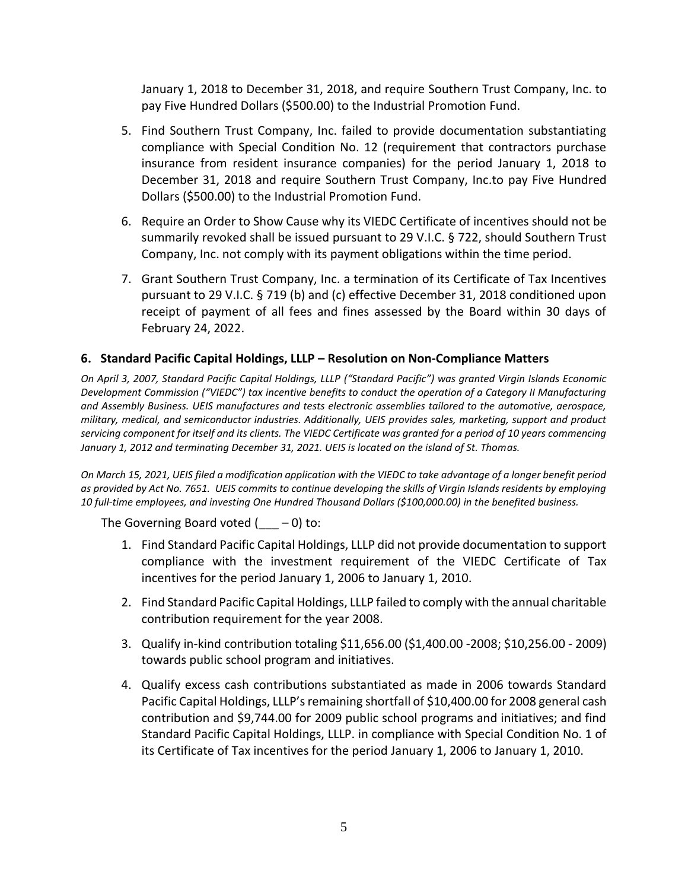January 1, 2018 to December 31, 2018, and require Southern Trust Company, Inc. to pay Five Hundred Dollars (\$500.00) to the Industrial Promotion Fund.

- 5. Find Southern Trust Company, Inc. failed to provide documentation substantiating compliance with Special Condition No. 12 (requirement that contractors purchase insurance from resident insurance companies) for the period January 1, 2018 to December 31, 2018 and require Southern Trust Company, Inc.to pay Five Hundred Dollars (\$500.00) to the Industrial Promotion Fund.
- 6. Require an Order to Show Cause why its VIEDC Certificate of incentives should not be summarily revoked shall be issued pursuant to 29 V.I.C. § 722, should Southern Trust Company, Inc. not comply with its payment obligations within the time period.
- 7. Grant Southern Trust Company, Inc. a termination of its Certificate of Tax Incentives pursuant to 29 V.I.C. § 719 (b) and (c) effective December 31, 2018 conditioned upon receipt of payment of all fees and fines assessed by the Board within 30 days of February 24, 2022.

# **6. Standard Pacific Capital Holdings, LLLP – Resolution on Non-Compliance Matters**

*On April 3, 2007, Standard Pacific Capital Holdings, LLLP ("Standard Pacific") was granted Virgin Islands Economic Development Commission ("VIEDC") tax incentive benefits to conduct the operation of a Category II Manufacturing and Assembly Business. UEIS manufactures and tests electronic assemblies tailored to the automotive, aerospace, military, medical, and semiconductor industries. Additionally, UEIS provides sales, marketing, support and product servicing component for itself and its clients. The VIEDC Certificate was granted for a period of 10 years commencing January 1, 2012 and terminating December 31, 2021. UEIS is located on the island of St. Thomas.*

*On March 15, 2021, UEIS filed a modification application with the VIEDC to take advantage of a longer benefit period as provided by Act No. 7651. UEIS commits to continue developing the skills of Virgin Islands residents by employing 10 full-time employees, and investing One Hundred Thousand Dollars (\$100,000.00) in the benefited business.*

The Governing Board voted  $($  - 0) to:

- 1. Find Standard Pacific Capital Holdings, LLLP did not provide documentation to support compliance with the investment requirement of the VIEDC Certificate of Tax incentives for the period January 1, 2006 to January 1, 2010.
- 2. Find Standard Pacific Capital Holdings, LLLP failed to comply with the annual charitable contribution requirement for the year 2008.
- 3. Qualify in-kind contribution totaling \$11,656.00 (\$1,400.00 -2008; \$10,256.00 2009) towards public school program and initiatives.
- 4. Qualify excess cash contributions substantiated as made in 2006 towards Standard Pacific Capital Holdings, LLLP's remaining shortfall of \$10,400.00 for 2008 general cash contribution and \$9,744.00 for 2009 public school programs and initiatives; and find Standard Pacific Capital Holdings, LLLP. in compliance with Special Condition No. 1 of its Certificate of Tax incentives for the period January 1, 2006 to January 1, 2010.